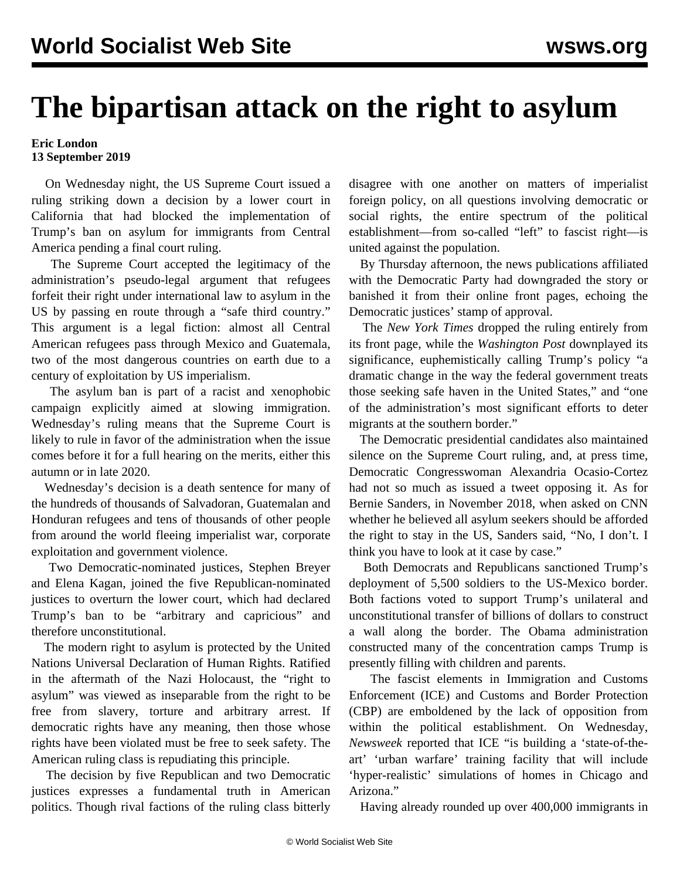## **The bipartisan attack on the right to asylum**

## **Eric London 13 September 2019**

 On Wednesday night, the US Supreme Court issued a ruling striking down a decision by a lower court in California that had blocked the implementation of Trump's ban on asylum for immigrants from Central America pending a final court ruling.

 The Supreme Court accepted the legitimacy of the administration's pseudo-legal argument that refugees forfeit their right under international law to asylum in the US by passing en route through a "safe third country." This argument is a legal fiction: almost all Central American refugees pass through Mexico and Guatemala, two of the most dangerous countries on earth due to a century of exploitation by US imperialism.

 The asylum ban is part of a racist and xenophobic campaign explicitly aimed at slowing immigration. Wednesday's ruling means that the Supreme Court is likely to rule in favor of the administration when the issue comes before it for a full hearing on the merits, either this autumn or in late 2020.

 Wednesday's decision is a death sentence for many of the hundreds of thousands of Salvadoran, Guatemalan and Honduran refugees and tens of thousands of other people from around the world fleeing imperialist war, corporate exploitation and government violence.

 Two Democratic-nominated justices, Stephen Breyer and Elena Kagan, joined the five Republican-nominated justices to overturn the lower court, which had declared Trump's ban to be "arbitrary and capricious" and therefore unconstitutional.

 The modern right to asylum is protected by the United Nations Universal Declaration of Human Rights. Ratified in the aftermath of the Nazi Holocaust, the "right to asylum" was viewed as inseparable from the right to be free from slavery, torture and arbitrary arrest. If democratic rights have any meaning, then those whose rights have been violated must be free to seek safety. The American ruling class is repudiating this principle.

 The decision by five Republican and two Democratic justices expresses a fundamental truth in American politics. Though rival factions of the ruling class bitterly disagree with one another on matters of imperialist foreign policy, on all questions involving democratic or social rights, the entire spectrum of the political establishment—from so-called "left" to fascist right—is united against the population.

 By Thursday afternoon, the news publications affiliated with the Democratic Party had downgraded the story or banished it from their online front pages, echoing the Democratic justices' stamp of approval.

 The *New York Times* dropped the ruling entirely from its front page, while the *Washington Post* downplayed its significance, euphemistically calling Trump's policy "a dramatic change in the way the federal government treats those seeking safe haven in the United States," and "one of the administration's most significant efforts to deter migrants at the southern border."

 The Democratic presidential candidates also maintained silence on the Supreme Court ruling, and, at press time, Democratic Congresswoman Alexandria Ocasio-Cortez had not so much as issued a tweet opposing it. As for Bernie Sanders, in November 2018, when asked on CNN whether he believed all asylum seekers should be afforded the right to stay in the US, Sanders said, "No, I don't. I think you have to look at it case by case."

 Both Democrats and Republicans sanctioned Trump's deployment of 5,500 soldiers to the US-Mexico border. Both factions voted to support Trump's unilateral and unconstitutional transfer of billions of dollars to construct a wall along the border. The Obama administration constructed many of the concentration camps Trump is presently filling with children and parents.

 The fascist elements in Immigration and Customs Enforcement (ICE) and Customs and Border Protection (CBP) are emboldened by the lack of opposition from within the political establishment. On Wednesday, *Newsweek* reported that ICE "is building a 'state-of-theart' 'urban warfare' training facility that will include 'hyper-realistic' simulations of homes in Chicago and Arizona<sup>"</sup>

Having already rounded up over 400,000 immigrants in